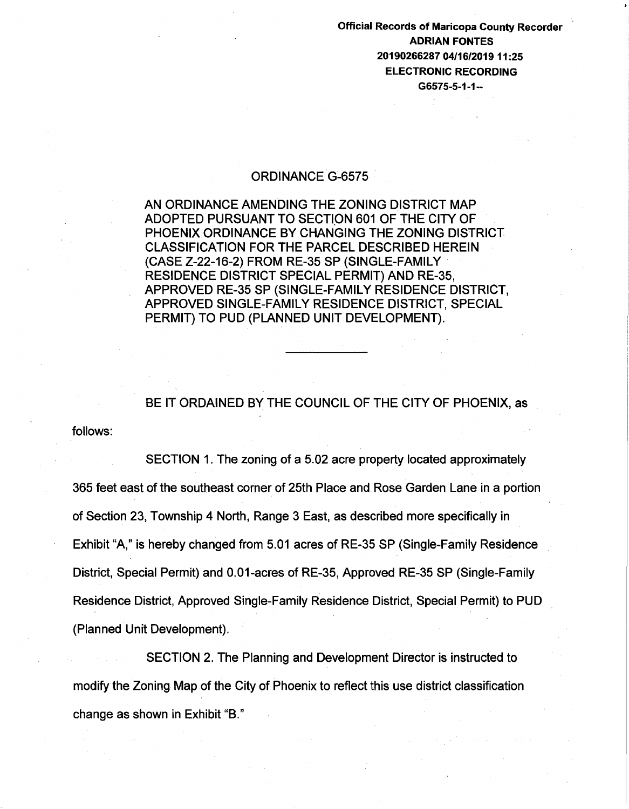Official Records of Maricopa County Recorder ADRIAN FONTES 20190266287 04/16/2019 11:25 ELECTRONIC RECORDING G6575-5-1-1--

## ORDINANCE G~6575

AN ORDINANCE AMENDING THE ZONING DISTRICT MAP ADOPTED PURSUANT TO SECTION 601 OF THE CITY OF PHOENIX ORDINANCE BY CHANGING THE ZONING DISTRICT CLASSIFICATION FOR THE PARCEL DESCRIBED HEREIN (CASE Z-22-16-2) FROM RE-35 SP (SINGLE-FAMILY RESIDENCE DISTRICT SPECIAL PERMIT) AND RE-35, APPROVED RE-35 SP (SINGLE-FAMILY RESIDENCE DISTRICT, APPROVED SINGLE-FAMILY RESIDENCE DISTRICT, SPECIAL PERMIT) TO PUD (PLANNED UNIT DEVELOPMENT).

follows: BE IT ORDAINED BY THE COUNCIL OF THE CITY OF PHOENIX, as

SECTION 1. The zoning of a 5.02 acre property located approximately 365 feet east of the southeast corner of 25th Place and Rose Garden Lane in a portion of Section 23, Township 4 North, Range 3 East, as described more specifically in Exhibit "A," is hereby changed from 5.01 acres of RE-35 SP (Single-Family Residence District, Special Permit) and 0.01-acres of RE-35, Approved RE-35 SP (Single-Family Residence District, Approved Single-Family Residence District, Special Permit) to PUD (Planned Unit Development).

SECTION 2. The Planning and Development Director is instructed to modify the Zoning Map of the City of Phoenix to reflect this use district classification change as shown in Exhibit "B."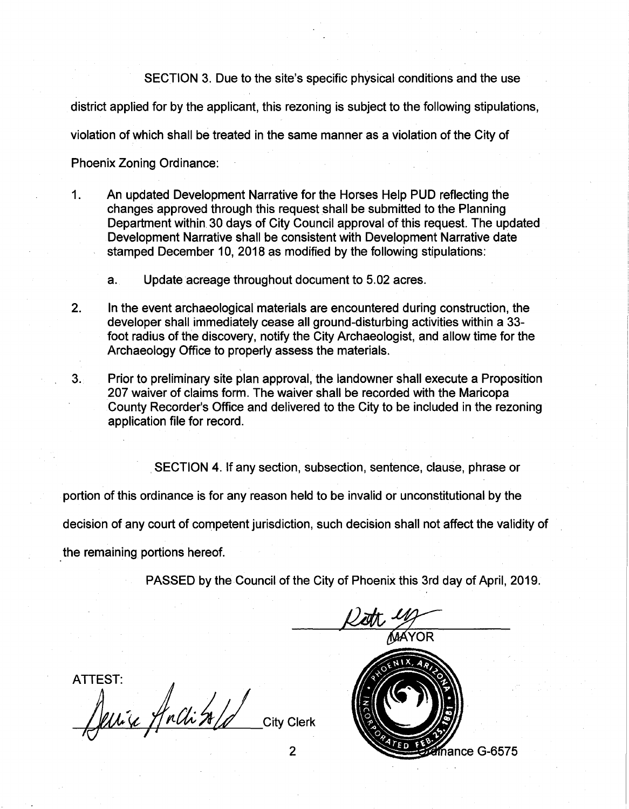SECTION 3. Due to the site's specific physical conditions and the use

district applied for by the applicant, this rezoning is subject to the following stipulations,

violation of which shall be treated in the same manner as a violation of the City of

Phoenix Zoning Ordinance:

- 1. An updated Development Narrative for the Horses Help PUD reflecting the changes approved through this request shall be submitted to the Planning Department within 30 days of City Council approval of this request. The updated Development Narrative shall be consistent with Development Narrative date stamped December 10, 2018 as modified by the following stipulations:
	- a. Update acreage throughout document to 5.02 acres.
- 2. In the event archaeological materials are encountered during construction, the developer shall immediately cease all ground-disturbing activities within a 33 foot radius of the discovery, notify the City Archaeologist, and allow time for the Archaeology Office to properly assess the materials.
- 3. Prior to preliminary site plan approval, the landowner shall execute a Proposition 207 waiver of claims form. The waiver shall be recorded with the Maricopa County Recorder's Office and delivered to the City to be included in the rezoning application file for record.

SECTION 4. If any section, subsection, sentence, clause, phrase or

portion of this ordinance is for any reason held to be invalid or unconstitutional by the

decision of any court of competent jurisdiction, such decision shall not affect the validity of

the remaining portions hereof.

PASSED by the Council of the City of Phoenix this 3rd day of April, 2019.

**ATTEST:** Jenice Anchitald City Clerk 2

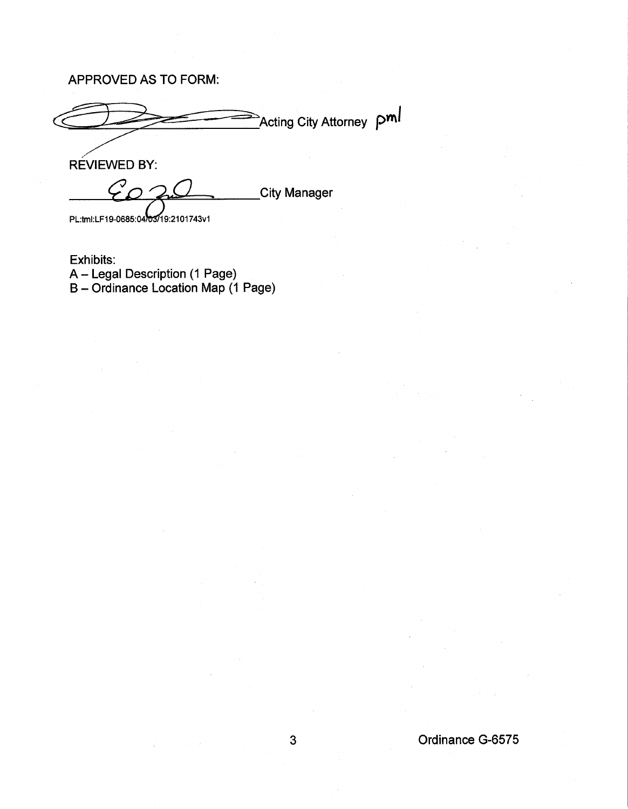APPROVED AS TO FORM:

Acting City Attorney pml

REVIEWED BY:

 $C_{\Omega}$ **City Manager** 

PL:tml:LF19-0685:04/03/19:2101743v1

Exhibits: A- Legal Description (1 Page) B- Ordinance Location Map (1 Page)

## 3 Ordinance G-6575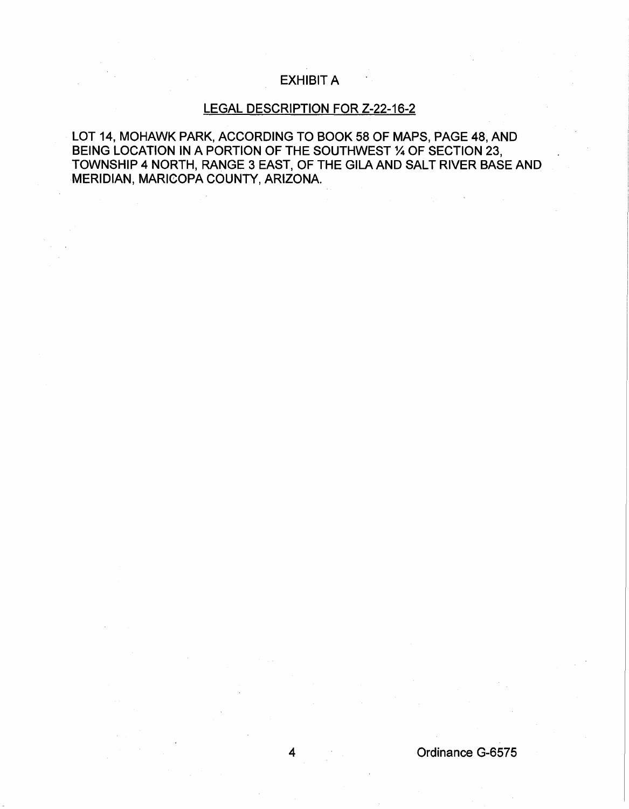## EXHIBIT A

## LEGAL DESCRIPTION FOR Z-22-16-2

LOT 14, MOHAWK PARK, ACCORDING TO BOOK 58 OF MAPS, PAGE 48, AND BEING LOCATION IN A PORTION OF THE SOUTHWEST % OF SECTION 23, TOWNSHIP 4 NORTH, RANGE 3 EAST, OF THE GILA AND SALT RIVER BASE AND MERIDIAN, MARICOPA COUNTY, ARIZONA.